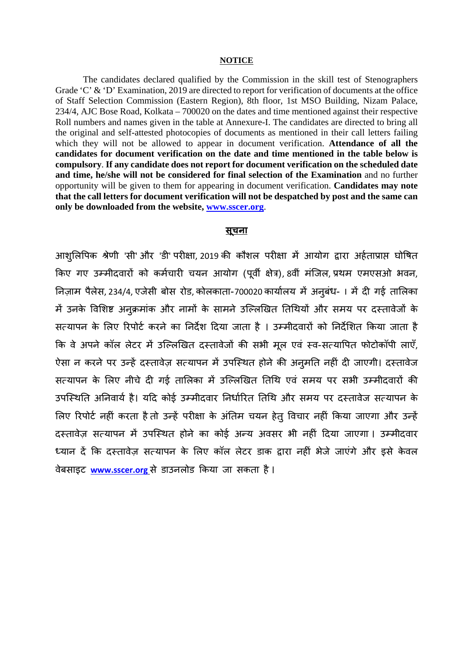## **NOTICE**

The candidates declared qualified by the Commission in the skill test of Stenographers Grade 'C' & 'D' Examination, 2019 are directed to report for verification of documents at the office of Staff Selection Commission (Eastern Region), 8th floor, 1st MSO Building, Nizam Palace, 234/4, AJC Bose Road, Kolkata – 700020 on the dates and time mentioned against their respective Roll numbers and names given in the table at Annexure-I. The candidates are directed to bring all the original and self-attested photocopies of documents as mentioned in their call letters failing which they will not be allowed to appear in document verification. Attendance of all the candidates for document verification on the date and time mentioned in the table below is compulsory. If any candidate does not report for document verification on the scheduled date and time, he/she will not be considered for final selection of the Examination and no further opportunity will be given to them for appearing in document verification. Candidates may note that the call letters for document verification will not be despatched by post and the same can only be downloaded from the website, www.sscer.org.

## <u>सचना</u>

आशुलिपिक श्रेणी 'सी' और 'डी' परीक्षा, 2019 की कौशल परीक्षा में आयोग द्वारा अर्हताप्राप्त घोषित किए गए उम्मीदवारों को कर्मचारी चयन आयोग (पूर्वी क्षेत्र), 8वीं मंजिल, प्रथम एमएसओ भवन, निज़ाम पैलेस, 234/4, एजेसी बोस रोड, कोलकाता-700020 कार्यालय में अनुबंध-। में दी गई तालिका में उनके विशिष्ट अनुक्रमांक और नामों के सामने उल्लिखित तिथियों और समय पर दस्तावेजों के सत्यापन के लिए रिपोर्ट करने का निर्देश दिया जाता है । उम्मीदवारों को निर्देशित किया जाता है कि वे अपने कॉल लेटर में उल्लिखित दस्तावेजों की सभी मूल एवं स्व-सत्यापित फोटोकॉपी लाएँ, ऐसा न करने पर उन्हें दस्तावेज़ सत्यापन में उपस्थित होने की अनुमति नहीं दी जाएगी। दस्तावेज सत्यापन के लिए नीचे दी गई तालिका में उल्लिखित तिथि एवं समय पर सभी उम्मीदवारों की उपस्थिति अनिवार्य है। यदि कोई उम्मीदवार निर्धारित तिथि और समय पर दस्तावेज सत्यापन के लिए रिपोर्ट नहीं करता है तो उन्हें परीक्षा के अंतिम चयन हेतू विचार नहीं किया जाएगा और उन्हें दस्तावेज़ सत्यापन में उपस्थित होने का कोई अन्य अवसर भी नहीं दिया जाएगा। उम्मीदवार ध्यान दें कि दस्तावेज़ सत्यापन के लिए कॉल लेटर डाक द्वारा नहीं भेजे जाएंगे और इसे केवल वेबसाइट www.sscer.org से डाउनलोड किया जा सकता है।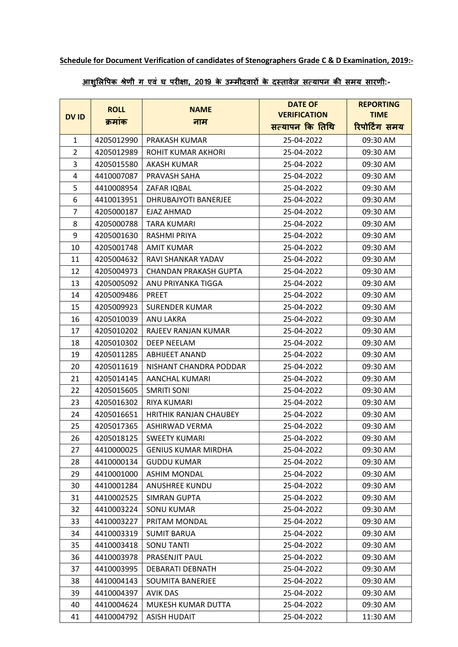## **Schedule for Document Verification of candidates of Stenographers Grade C & D Examination, 2019:-**

## **आशु�ल�पक श्रेणी ग एवं घ पर��ा, 2019 के उम्मीदवार� के दस्तावेज़ सत्यापन क� समय सारणी:-**

|                | <b>ROLL</b> | <b>NAME</b>                   | <b>DATE OF</b>      | <b>REPORTING</b> |
|----------------|-------------|-------------------------------|---------------------|------------------|
| <b>DVID</b>    | क्रमांक     | नाम                           | <b>VERIFICATION</b> | <b>TIME</b>      |
|                |             |                               | सत्यापन कि तिथि     | रिपोर्टिंग समय   |
| $\mathbf{1}$   | 4205012990  | PRAKASH KUMAR                 | 25-04-2022          | 09:30 AM         |
| $\overline{2}$ | 4205012989  | ROHIT KUMAR AKHORI            | 25-04-2022          | 09:30 AM         |
| 3              | 4205015580  | <b>AKASH KUMAR</b>            | 25-04-2022          | 09:30 AM         |
| 4              | 4410007087  | PRAVASH SAHA                  | 25-04-2022          | 09:30 AM         |
| 5              | 4410008954  | ZAFAR IQBAL                   | 25-04-2022          | 09:30 AM         |
| 6              | 4410013951  | DHRUBAJYOTI BANERJEE          | 25-04-2022          | 09:30 AM         |
| $\overline{7}$ | 4205000187  | EJAZ AHMAD                    | 25-04-2022          | 09:30 AM         |
| 8              | 4205000788  | TARA KUMARI                   | 25-04-2022          | 09:30 AM         |
| 9              | 4205001630  | RASHMI PRIYA                  | 25-04-2022          | 09:30 AM         |
| 10             | 4205001748  | <b>AMIT KUMAR</b>             | 25-04-2022          | 09:30 AM         |
| 11             | 4205004632  | RAVI SHANKAR YADAV            | 25-04-2022          | 09:30 AM         |
| 12             | 4205004973  | <b>CHANDAN PRAKASH GUPTA</b>  | 25-04-2022          | 09:30 AM         |
| 13             | 4205005092  | ANU PRIYANKA TIGGA            | 25-04-2022          | 09:30 AM         |
| 14             | 4205009486  | PREET                         | 25-04-2022          | 09:30 AM         |
| 15             | 4205009923  | <b>SURENDER KUMAR</b>         | 25-04-2022          | 09:30 AM         |
| 16             | 4205010039  | ANU LAKRA                     | 25-04-2022          | 09:30 AM         |
| 17             | 4205010202  | RAJEEV RANJAN KUMAR           | 25-04-2022          | 09:30 AM         |
| 18             | 4205010302  | <b>DEEP NEELAM</b>            | 25-04-2022          | 09:30 AM         |
| 19             | 4205011285  | <b>ABHIJEET ANAND</b>         | 25-04-2022          | 09:30 AM         |
| 20             | 4205011619  | NISHANT CHANDRA PODDAR        | 25-04-2022          | 09:30 AM         |
| 21             | 4205014145  | AANCHAL KUMARI                | 25-04-2022          | 09:30 AM         |
| 22             | 4205015605  | <b>SMRITI SONI</b>            | 25-04-2022          | 09:30 AM         |
| 23             | 4205016302  | RIYA KUMARI                   | 25-04-2022          | 09:30 AM         |
| 24             | 4205016651  | <b>HRITHIK RANJAN CHAUBEY</b> | 25-04-2022          | 09:30 AM         |
| 25             | 4205017365  | ASHIRWAD VERMA                | 25-04-2022          | 09:30 AM         |
| 26             | 4205018125  | <b>SWEETY KUMARI</b>          | 25-04-2022          | 09:30 AM         |
| 27             | 4410000025  | <b>GENIUS KUMAR MIRDHA</b>    | 25-04-2022          | 09:30 AM         |
| 28             | 4410000134  | <b>GUDDU KUMAR</b>            | 25-04-2022          | 09:30 AM         |
| 29             | 4410001000  | <b>ASHIM MONDAL</b>           | 25-04-2022          | 09:30 AM         |
| 30             | 4410001284  | <b>ANUSHREE KUNDU</b>         | 25-04-2022          | 09:30 AM         |
| 31             | 4410002525  | SIMRAN GUPTA                  | 25-04-2022          | 09:30 AM         |
| 32             | 4410003224  | <b>SONU KUMAR</b>             | 25-04-2022          | 09:30 AM         |
| 33             | 4410003227  | PRITAM MONDAL                 | 25-04-2022          | 09:30 AM         |
| 34             | 4410003319  | <b>SUMIT BARUA</b>            | 25-04-2022          | 09:30 AM         |
| 35             | 4410003418  | <b>SONU TANTI</b>             | 25-04-2022          | 09:30 AM         |
| 36             | 4410003978  | PRASENJIT PAUL                | 25-04-2022          | 09:30 AM         |
| 37             | 4410003995  | DEBARATI DEBNATH              | 25-04-2022          | 09:30 AM         |
| 38             | 4410004143  | SOUMITA BANERJEE              | 25-04-2022          | 09:30 AM         |
| 39             | 4410004397  | <b>AVIK DAS</b>               | 25-04-2022          | 09:30 AM         |
| 40             | 4410004624  | MUKESH KUMAR DUTTA            | 25-04-2022          | 09:30 AM         |
| 41             | 4410004792  | <b>ASISH HUDAIT</b>           | 25-04-2022          | 11:30 AM         |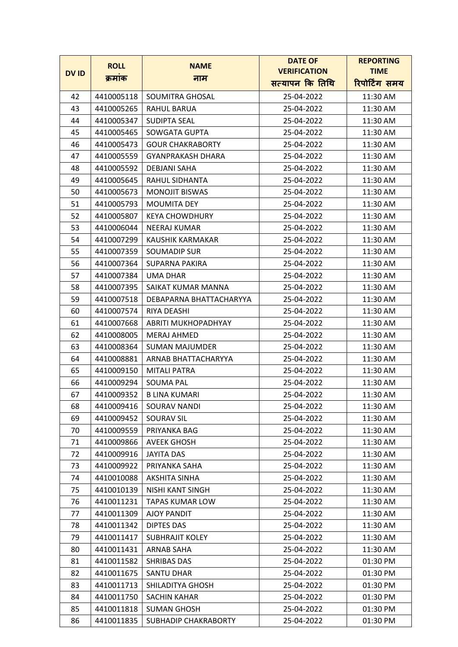|             | <b>ROLL</b> | <b>NAME</b>              | <b>DATE OF</b>      | <b>REPORTING</b> |
|-------------|-------------|--------------------------|---------------------|------------------|
| <b>DVID</b> | क्रमाक      | नाम                      | <b>VERIFICATION</b> | <b>TIME</b>      |
|             |             |                          | सत्यापन कि तिथि     | रिपोर्टिंग समय   |
| 42          | 4410005118  | SOUMITRA GHOSAL          | 25-04-2022          | 11:30 AM         |
| 43          | 4410005265  | RAHUL BARUA              | 25-04-2022          | 11:30 AM         |
| 44          | 4410005347  | SUDIPTA SEAL             | 25-04-2022          | 11:30 AM         |
| 45          | 4410005465  | SOWGATA GUPTA            | 25-04-2022          | 11:30 AM         |
| 46          | 4410005473  | <b>GOUR CHAKRABORTY</b>  | 25-04-2022          | 11:30 AM         |
| 47          | 4410005559  | <b>GYANPRAKASH DHARA</b> | 25-04-2022          | 11:30 AM         |
| 48          | 4410005592  | <b>DEBJANI SAHA</b>      | 25-04-2022          | 11:30 AM         |
| 49          | 4410005645  | RAHUL SIDHANTA           | 25-04-2022          | 11:30 AM         |
| 50          | 4410005673  | <b>MONOJIT BISWAS</b>    | 25-04-2022          | 11:30 AM         |
| 51          | 4410005793  | <b>MOUMITA DEY</b>       | 25-04-2022          | 11:30 AM         |
| 52          | 4410005807  | <b>KEYA CHOWDHURY</b>    | 25-04-2022          | 11:30 AM         |
| 53          | 4410006044  | NEERAJ KUMAR             | 25-04-2022          | 11:30 AM         |
| 54          | 4410007299  | KAUSHIK KARMAKAR         | 25-04-2022          | 11:30 AM         |
| 55          | 4410007359  | <b>SOUMADIP SUR</b>      | 25-04-2022          | 11:30 AM         |
| 56          | 4410007364  | SUPARNA PAKIRA           | 25-04-2022          | 11:30 AM         |
| 57          | 4410007384  | UMA DHAR                 | 25-04-2022          | 11:30 AM         |
| 58          | 4410007395  | SAIKAT KUMAR MANNA       | 25-04-2022          | 11:30 AM         |
| 59          | 4410007518  | DEBAPARNA BHATTACHARYYA  | 25-04-2022          | 11:30 AM         |
| 60          | 4410007574  | RIYA DEASHI              | 25-04-2022          | 11:30 AM         |
| 61          | 4410007668  | ABRITI MUKHOPADHYAY      | 25-04-2022          | 11:30 AM         |
| 62          | 4410008005  | <b>MERAJ AHMED</b>       | 25-04-2022          | 11:30 AM         |
| 63          | 4410008364  | <b>SUMAN MAJUMDER</b>    | 25-04-2022          | 11:30 AM         |
| 64          | 4410008881  | ARNAB BHATTACHARYYA      | 25-04-2022          | 11:30 AM         |
| 65          | 4410009150  | <b>MITALI PATRA</b>      | 25-04-2022          | 11:30 AM         |
| 66          | 4410009294  | <b>SOUMA PAL</b>         | 25-04-2022          | 11:30 AM         |
| 67          | 4410009352  | <b>B LINA KUMARI</b>     | 25-04-2022          | 11:30 AM         |
| 68          | 4410009416  | SOURAV NANDI             | 25-04-2022          | 11:30 AM         |
| 69          | 4410009452  | <b>SOURAV SIL</b>        | 25-04-2022          | 11:30 AM         |
| 70          | 4410009559  | PRIYANKA BAG             | 25-04-2022          | 11:30 AM         |
| 71          | 4410009866  | <b>AVEEK GHOSH</b>       | 25-04-2022          | 11:30 AM         |
| 72          | 4410009916  | <b>JAYITA DAS</b>        | 25-04-2022          | 11:30 AM         |
| 73          | 4410009922  | PRIYANKA SAHA            | 25-04-2022          | 11:30 AM         |
| 74          | 4410010088  | AKSHITA SINHA            | 25-04-2022          | 11:30 AM         |
| 75          | 4410010139  | NISHI KANT SINGH         | 25-04-2022          | 11:30 AM         |
| 76          | 4410011231  | <b>TAPAS KUMAR LOW</b>   | 25-04-2022          | 11:30 AM         |
| 77          | 4410011309  | AJOY PANDIT              | 25-04-2022          | 11:30 AM         |
| 78          | 4410011342  | DIPTES DAS               | 25-04-2022          | 11:30 AM         |
| 79          | 4410011417  | <b>SUBHRAJIT KOLEY</b>   | 25-04-2022          | 11:30 AM         |
| 80          | 4410011431  | ARNAB SAHA               | 25-04-2022          | 11:30 AM         |
| 81          | 4410011582  | SHRIBAS DAS              | 25-04-2022          | 01:30 PM         |
| 82          | 4410011675  | SANTU DHAR               | 25-04-2022          | 01:30 PM         |
| 83          | 4410011713  | SHILADITYA GHOSH         | 25-04-2022          | 01:30 PM         |
| 84          | 4410011750  | <b>SACHIN KAHAR</b>      | 25-04-2022          | 01:30 PM         |
| 85          | 4410011818  | <b>SUMAN GHOSH</b>       | 25-04-2022          | 01:30 PM         |
| 86          | 4410011835  | SUBHADIP CHAKRABORTY     | 25-04-2022          | 01:30 PM         |